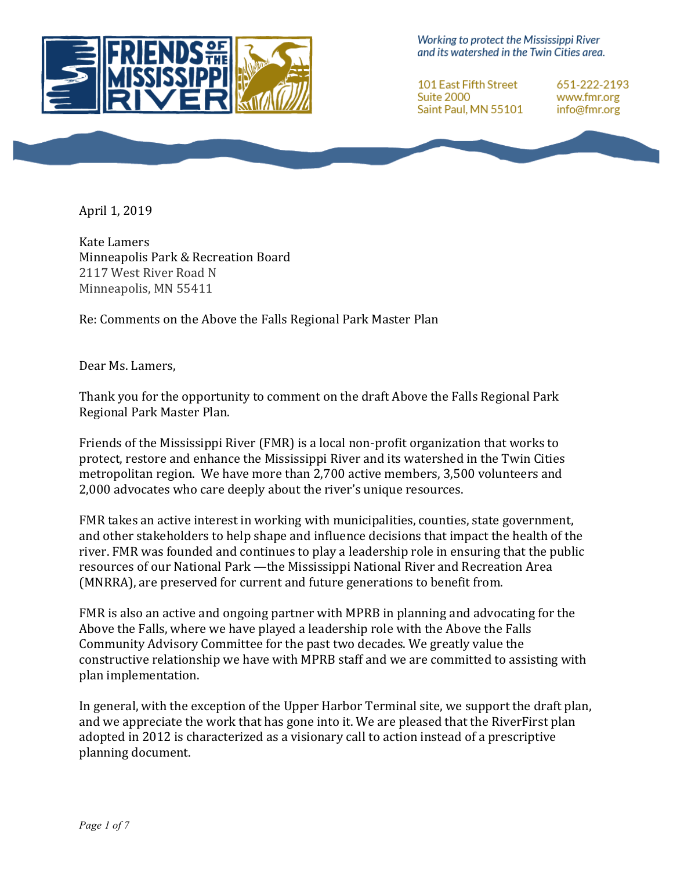

Working to protect the Mississippi River and its watershed in the Twin Cities area.

101 East Fifth Street Suite 2000 Saint Paul, MN 55101

651-222-2193 www.fmr.org info@fmr.org

April 1, 2019

Kate Lamers Minneapolis Park & Recreation Board 2117 West River Road N Minneapolis, MN 55411

Re: Comments on the Above the Falls Regional Park Master Plan

Dear Ms. Lamers,

Thank you for the opportunity to comment on the draft Above the Falls Regional Park Regional Park Master Plan.

Friends of the Mississippi River (FMR) is a local non-profit organization that works to protect, restore and enhance the Mississippi River and its watershed in the Twin Cities metropolitan region. We have more than 2,700 active members, 3,500 volunteers and 2,000 advocates who care deeply about the river's unique resources.

FMR takes an active interest in working with municipalities, counties, state government, and other stakeholders to help shape and influence decisions that impact the health of the river. FMR was founded and continues to play a leadership role in ensuring that the public resources of our National Park —the Mississippi National River and Recreation Area (MNRRA), are preserved for current and future generations to benefit from.

FMR is also an active and ongoing partner with MPRB in planning and advocating for the Above the Falls, where we have played a leadership role with the Above the Falls Community Advisory Committee for the past two decades. We greatly value the constructive relationship we have with MPRB staff and we are committed to assisting with plan implementation.

In general, with the exception of the Upper Harbor Terminal site, we support the draft plan, and we appreciate the work that has gone into it. We are pleased that the RiverFirst plan adopted in 2012 is characterized as a visionary call to action instead of a prescriptive planning document.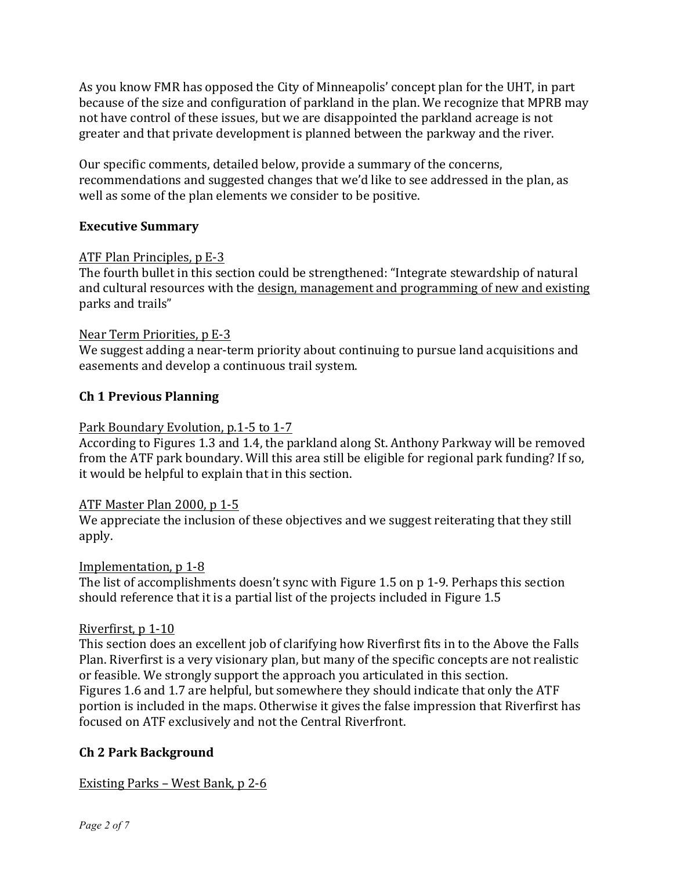As you know FMR has opposed the City of Minneapolis' concept plan for the UHT, in part because of the size and configuration of parkland in the plan. We recognize that MPRB may not have control of these issues, but we are disappointed the parkland acreage is not greater and that private development is planned between the parkway and the river.

Our specific comments, detailed below, provide a summary of the concerns, recommendations and suggested changes that we'd like to see addressed in the plan, as well as some of the plan elements we consider to be positive.

## **Executive Summary**

## ATF Plan Principles, p E-3

The fourth bullet in this section could be strengthened: "Integrate stewardship of natural and cultural resources with the design, management and programming of new and existing parks and trails"

## Near Term Priorities, p E-3

We suggest adding a near-term priority about continuing to pursue land acquisitions and easements and develop a continuous trail system.

## **Ch 1 Previous Planning**

## Park Boundary Evolution, p.1-5 to 1-7

According to Figures 1.3 and 1.4, the parkland along St. Anthony Parkway will be removed from the ATF park boundary. Will this area still be eligible for regional park funding? If so, it would be helpful to explain that in this section.

## ATF Master Plan 2000, p 1-5

We appreciate the inclusion of these objectives and we suggest reiterating that they still apply.

## Implementation, p 1-8

The list of accomplishments doesn't sync with Figure 1.5 on  $p$  1-9. Perhaps this section should reference that it is a partial list of the projects included in Figure 1.5

## Riverfirst, p 1-10

This section does an excellent job of clarifying how Riverfirst fits in to the Above the Falls Plan. Riverfirst is a very visionary plan, but many of the specific concepts are not realistic or feasible. We strongly support the approach you articulated in this section. Figures 1.6 and 1.7 are helpful, but somewhere they should indicate that only the ATF portion is included in the maps. Otherwise it gives the false impression that Riverfirst has focused on ATF exclusively and not the Central Riverfront.

# **Ch 2 Park Background**

Existing Parks – West Bank,  $p \, 2$ -6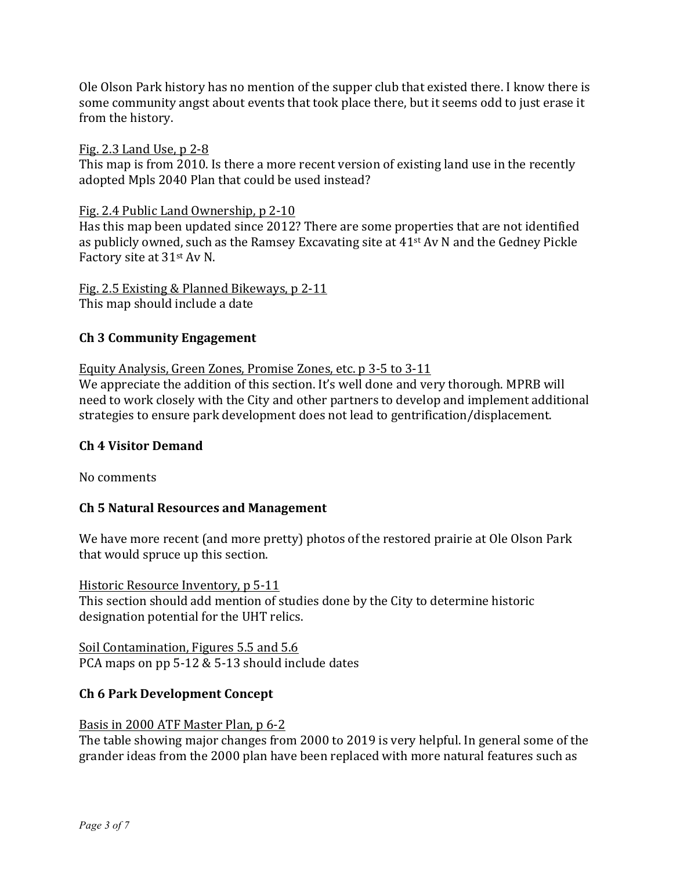Ole Olson Park history has no mention of the supper club that existed there. I know there is some community angst about events that took place there, but it seems odd to just erase it from the history.

## Fig. 2.3 Land Use,  $p$  2-8

This map is from 2010. Is there a more recent version of existing land use in the recently adopted Mpls 2040 Plan that could be used instead?

#### Fig. 2.4 Public Land Ownership, p 2-10

Has this map been updated since 2012? There are some properties that are not identified as publicly owned, such as the Ramsey Excavating site at  $41<sup>st</sup>$  Av N and the Gedney Pickle Factory site at 31<sup>st</sup> Av N.

#### Fig. 2.5 Existing & Planned Bikeways, p 2-11 This map should include a date

## **Ch 3 Community Engagement**

## Equity Analysis, Green Zones, Promise Zones, etc. p 3-5 to 3-11

We appreciate the addition of this section. It's well done and very thorough. MPRB will need to work closely with the City and other partners to develop and implement additional strategies to ensure park development does not lead to gentrification/displacement.

## **Ch 4 Visitor Demand**

No comments

## **Ch 5 Natural Resources and Management**

We have more recent (and more pretty) photos of the restored prairie at Ole Olson Park that would spruce up this section.

Historic Resource Inventory, p 5-11 This section should add mention of studies done by the City to determine historic designation potential for the UHT relics.

Soil Contamination, Figures 5.5 and 5.6 PCA maps on pp  $5-12 \& 5-13$  should include dates

## **Ch 6 Park Development Concept**

#### Basis in 2000 ATF Master Plan, p 6-2

The table showing major changes from 2000 to 2019 is very helpful. In general some of the grander ideas from the 2000 plan have been replaced with more natural features such as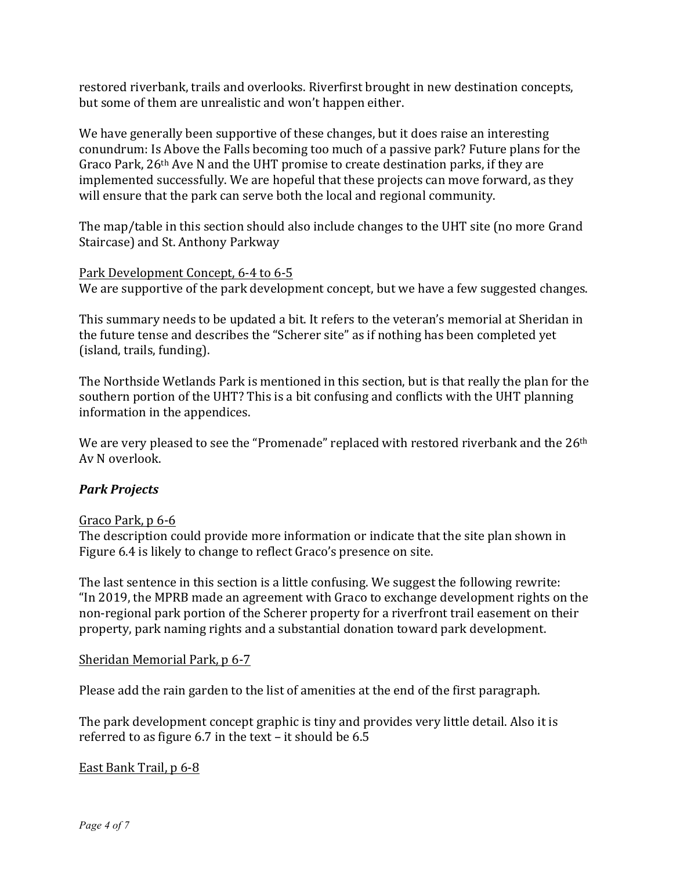restored riverbank, trails and overlooks. Riverfirst brought in new destination concepts, but some of them are unrealistic and won't happen either.

We have generally been supportive of these changes, but it does raise an interesting conundrum: Is Above the Falls becoming too much of a passive park? Future plans for the Graco Park,  $26<sup>th</sup>$  Ave N and the UHT promise to create destination parks, if they are implemented successfully. We are hopeful that these projects can move forward, as they will ensure that the park can serve both the local and regional community.

The map/table in this section should also include changes to the UHT site (no more Grand Staircase) and St. Anthony Parkway

## Park Development Concept, 6-4 to 6-5

We are supportive of the park development concept, but we have a few suggested changes.

This summary needs to be updated a bit. It refers to the veteran's memorial at Sheridan in the future tense and describes the "Scherer site" as if nothing has been completed yet (island, trails, funding).

The Northside Wetlands Park is mentioned in this section, but is that really the plan for the southern portion of the UHT? This is a bit confusing and conflicts with the UHT planning information in the appendices.

We are very pleased to see the "Promenade" replaced with restored riverbank and the 26<sup>th</sup> Av N overlook.

# *Park Projects*

## Graco Park, p 6-6

The description could provide more information or indicate that the site plan shown in Figure 6.4 is likely to change to reflect Graco's presence on site.

The last sentence in this section is a little confusing. We suggest the following rewrite: "In 2019, the MPRB made an agreement with Graco to exchange development rights on the non-regional park portion of the Scherer property for a riverfront trail easement on their property, park naming rights and a substantial donation toward park development.

## Sheridan Memorial Park, p 6-7

Please add the rain garden to the list of amenities at the end of the first paragraph.

The park development concept graphic is tiny and provides very little detail. Also it is referred to as figure  $6.7$  in the text – it should be  $6.5$ 

## East Bank Trail, p 6-8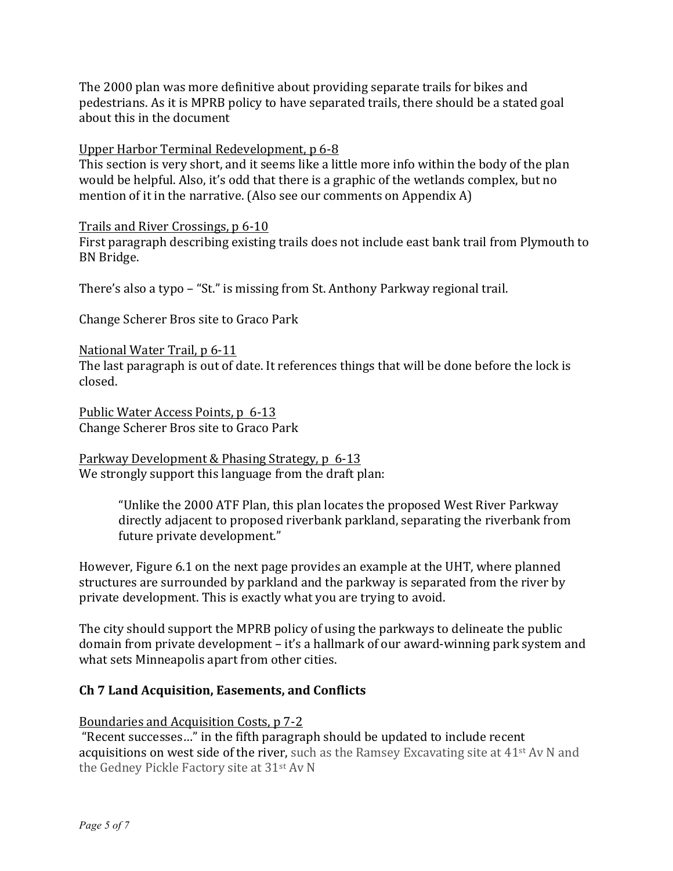The 2000 plan was more definitive about providing separate trails for bikes and pedestrians. As it is MPRB policy to have separated trails, there should be a stated goal about this in the document

## Upper Harbor Terminal Redevelopment, p 6-8

This section is very short, and it seems like a little more info within the body of the plan would be helpful. Also, it's odd that there is a graphic of the wetlands complex, but no mention of it in the narrative. (Also see our comments on Appendix A)

Trails and River Crossings, p 6-10

First paragraph describing existing trails does not include east bank trail from Plymouth to BN Bridge.

There's also a typo – "St." is missing from St. Anthony Parkway regional trail.

Change Scherer Bros site to Graco Park

National Water Trail, p 6-11

The last paragraph is out of date. It references things that will be done before the lock is closed.

Public Water Access Points, p 6-13 Change Scherer Bros site to Graco Park

Parkway Development & Phasing Strategy, p 6-13 We strongly support this language from the draft plan:

> "Unlike the 2000 ATF Plan, this plan locates the proposed West River Parkway directly adjacent to proposed riverbank parkland, separating the riverbank from future private development."

However, Figure 6.1 on the next page provides an example at the UHT, where planned structures are surrounded by parkland and the parkway is separated from the river by private development. This is exactly what you are trying to avoid.

The city should support the MPRB policy of using the parkways to delineate the public domain from private development  $-$  it's a hallmark of our award-winning park system and what sets Minneapolis apart from other cities.

## **Ch 7 Land Acquisition, Easements, and Conflicts**

Boundaries and Acquisition Costs, p 7-2

"Recent successes..." in the fifth paragraph should be updated to include recent acquisitions on west side of the river, such as the Ramsey Excavating site at  $41<sup>st</sup>$  Av N and the Gedney Pickle Factory site at 31<sup>st</sup> Av N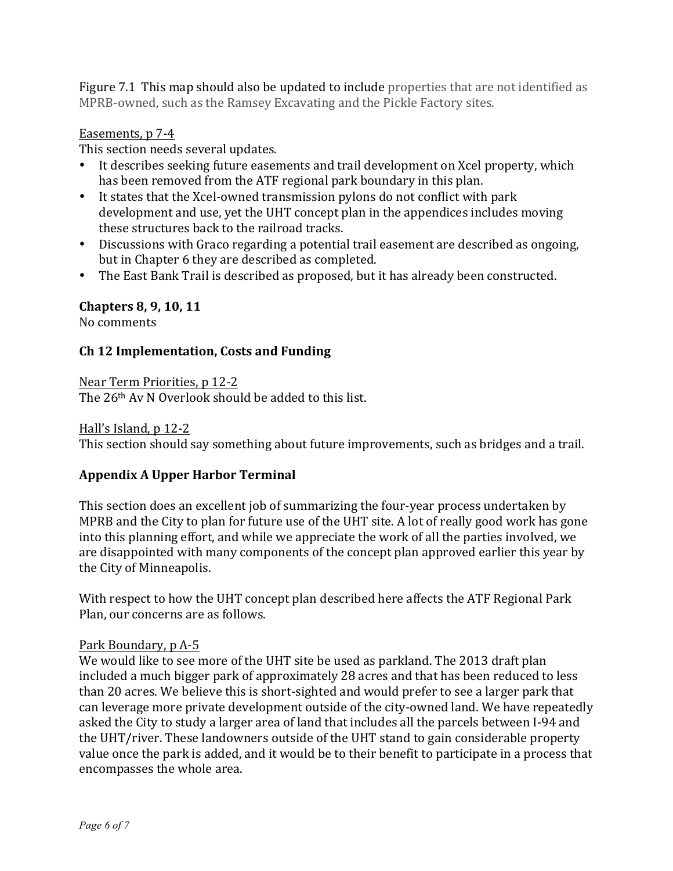Figure 7.1 This map should also be updated to include properties that are not identified as MPRB-owned, such as the Ramsey Excavating and the Pickle Factory sites.

## Easements, p 7-4

This section needs several updates.

- It describes seeking future easements and trail development on Xcel property, which has been removed from the ATF regional park boundary in this plan.
- It states that the Xcel-owned transmission pylons do not conflict with park development and use, yet the UHT concept plan in the appendices includes moving these structures back to the railroad tracks.
- Discussions with Graco regarding a potential trail easement are described as ongoing, but in Chapter 6 they are described as completed.
- The East Bank Trail is described as proposed, but it has already been constructed.

# **Chapters 8, 9, 10, 11**

No comments

# **Ch 12 Implementation, Costs and Funding**

Near Term Priorities, p 12-2 The  $26<sup>th</sup>$  Av N Overlook should be added to this list.

## Hall's Island, p 12-2

This section should say something about future improvements, such as bridges and a trail.

# **Appendix A Upper Harbor Terminal**

This section does an excellent job of summarizing the four-year process undertaken by MPRB and the City to plan for future use of the UHT site. A lot of really good work has gone into this planning effort, and while we appreciate the work of all the parties involved, we are disappointed with many components of the concept plan approved earlier this year by the City of Minneapolis.

With respect to how the UHT concept plan described here affects the ATF Regional Park Plan, our concerns are as follows.

## Park Boundary, p A-5

We would like to see more of the UHT site be used as parkland. The 2013 draft plan included a much bigger park of approximately 28 acres and that has been reduced to less than 20 acres. We believe this is short-sighted and would prefer to see a larger park that can leverage more private development outside of the city-owned land. We have repeatedly asked the City to study a larger area of land that includes all the parcels between I-94 and the UHT/river. These landowners outside of the UHT stand to gain considerable property value once the park is added, and it would be to their benefit to participate in a process that encompasses the whole area.